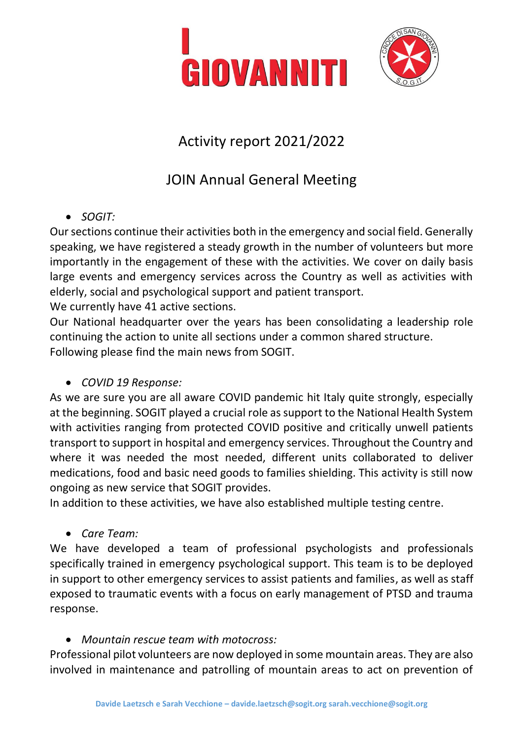



# Activity report 2021/2022

## JOIN Annual General Meeting

## • *SOGIT:*

Our sections continue their activities both in the emergency and social field. Generally speaking, we have registered a steady growth in the number of volunteers but more importantly in the engagement of these with the activities. We cover on daily basis large events and emergency services across the Country as well as activities with elderly, social and psychological support and patient transport.

We currently have 41 active sections.

Our National headquarter over the years has been consolidating a leadership role continuing the action to unite all sections under a common shared structure. Following please find the main news from SOGIT.

## • *COVID 19 Response:*

As we are sure you are all aware COVID pandemic hit Italy quite strongly, especially at the beginning. SOGIT played a crucial role as support to the National Health System with activities ranging from protected COVID positive and critically unwell patients transport to support in hospital and emergency services. Throughout the Country and where it was needed the most needed, different units collaborated to deliver medications, food and basic need goods to families shielding. This activity is still now ongoing as new service that SOGIT provides.

In addition to these activities, we have also established multiple testing centre.

• *Care Team:*

We have developed a team of professional psychologists and professionals specifically trained in emergency psychological support. This team is to be deployed in support to other emergency services to assist patients and families, as well as staff exposed to traumatic events with a focus on early management of PTSD and trauma response.

## • *Mountain rescue team with motocross:*

Professional pilot volunteers are now deployed in some mountain areas. They are also involved in maintenance and patrolling of mountain areas to act on prevention of